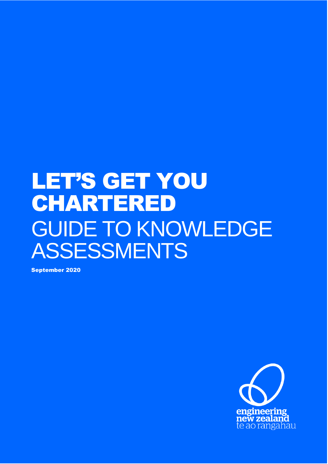# LET'S GET YOU CHARTERED GUIDE TO KNOWLEDGE ASSESSMENTS

September 2020

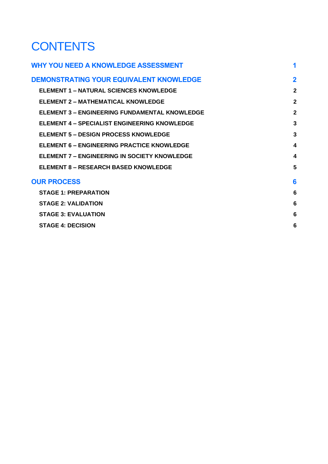# **CONTENTS**

| <b>WHY YOU NEED A KNOWLEDGE ASSESSMENT</b>           | 1              |
|------------------------------------------------------|----------------|
| <b>DEMONSTRATING YOUR EQUIVALENT KNOWLEDGE</b>       | $\overline{2}$ |
| <b>ELEMENT 1 – NATURAL SCIENCES KNOWLEDGE</b>        | $\overline{2}$ |
| <b>ELEMENT 2 - MATHEMATICAL KNOWLEDGE</b>            | $\overline{2}$ |
| <b>ELEMENT 3 - ENGINEERING FUNDAMENTAL KNOWLEDGE</b> | $\overline{2}$ |
| <b>ELEMENT 4 – SPECIALIST ENGINEERING KNOWLEDGE</b>  | 3              |
| <b>ELEMENT 5 - DESIGN PROCESS KNOWLEDGE</b>          | 3              |
| <b>ELEMENT 6 - ENGINEERING PRACTICE KNOWLEDGE</b>    | 4              |
| <b>ELEMENT 7 - ENGINEERING IN SOCIETY KNOWLEDGE</b>  | 4              |
| <b>ELEMENT 8 - RESEARCH BASED KNOWLEDGE</b>          | 5              |
| <b>OUR PROCESS</b>                                   | 6              |
| <b>STAGE 1: PREPARATION</b>                          | 6              |
| <b>STAGE 2: VALIDATION</b>                           | 6              |
| <b>STAGE 3: EVALUATION</b>                           | 6              |
| <b>STAGE 4: DECISION</b>                             | 6              |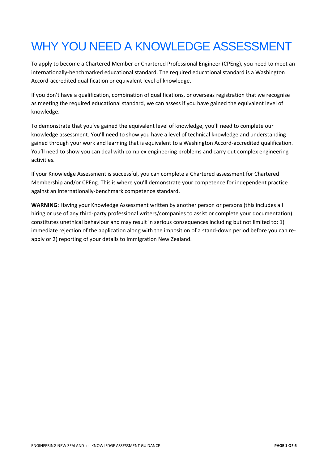# <span id="page-3-0"></span>WHY YOU NEED A KNOWLEDGE ASSESSMENT

To apply to become a Chartered Member or Chartered Professional Engineer (CPEng), you need to meet an internationally-benchmarked educational standard. The required educational standard is a Washington Accord-accredited qualification or equivalent level of knowledge.

If you don't have a qualification, combination of qualifications, or overseas registration that we recognise as meeting the required educational standard, we can assess if you have gained the equivalent level of knowledge.

To demonstrate that you've gained the equivalent level of knowledge, you'll need to complete our knowledge assessment. You'll need to show you have a level of technical knowledge and understanding gained through your work and learning that is equivalent to a Washington Accord-accredited qualification. You'll need to show you can deal with complex engineering problems and carry out complex engineering activities.

If your Knowledge Assessment is successful, you can complete a Chartered assessment for Chartered Membership and/or CPEng. This is where you'll demonstrate your competence for independent practice against an internationally-benchmark competence standard.

<span id="page-3-1"></span>**WARNING**: Having your Knowledge Assessment written by another person or persons (this includes all hiring or use of any third-party professional writers/companies to assist or complete your documentation) constitutes unethical behaviour and may result in serious consequences including but not limited to: 1) immediate rejection of the application along with the imposition of a stand-down period before you can reapply or 2) reporting of your details to Immigration New Zealand.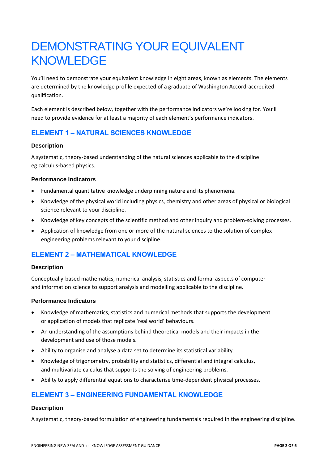# DEMONSTRATING YOUR EQUIVALENT **KNOWLEDGE**

You'll need to demonstrate your equivalent knowledge in eight areas, known as elements. The elements are determined by the knowledge profile expected of a graduate of Washington Accord-accredited qualification.

Each element is described below, together with the performance indicators we're looking for. You'll need to provide evidence for at least a majority of each element's performance indicators.

# <span id="page-4-0"></span>**ELEMENT 1 – NATURAL SCIENCES KNOWLEDGE**

#### **Description**

A systematic, theory-based understanding of the natural sciences applicable to the discipline eg calculus-based physics.

#### **Performance Indicators**

- Fundamental quantitative knowledge underpinning nature and its phenomena.
- Knowledge of the physical world including physics, chemistry and other areas of physical or biological science relevant to your discipline.
- Knowledge of key concepts of the scientific method and other inquiry and problem-solving processes.
- Application of knowledge from one or more of the natural sciences to the solution of complex engineering problems relevant to your discipline.

# <span id="page-4-1"></span>**ELEMENT 2 – MATHEMATICAL KNOWLEDGE**

#### **Description**

Conceptually-based mathematics, numerical analysis, statistics and formal aspects of computer and information science to support analysis and modelling applicable to the discipline.

#### **Performance Indicators**

- Knowledge of mathematics, statistics and numerical methods that supports the development or application of models that replicate 'real world' behaviours.
- An understanding of the assumptions behind theoretical models and their impacts in the development and use of those models.
- Ability to organise and analyse a data set to determine its statistical variability.
- Knowledge of trigonometry, probability and statistics, differential and integral calculus, and multivariate calculus that supports the solving of engineering problems.
- Ability to apply differential equations to characterise time-dependent physical processes.

# <span id="page-4-2"></span>**ELEMENT 3 – ENGINEERING FUNDAMENTAL KNOWLEDGE**

#### **Description**

A systematic, theory-based formulation of engineering fundamentals required in the engineering discipline.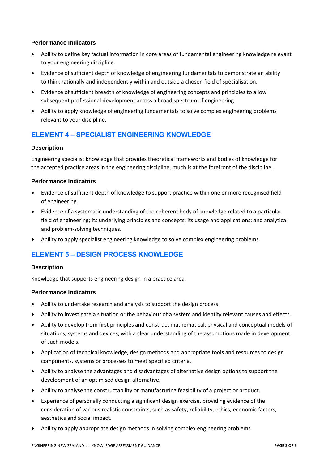#### **Performance Indicators**

- Ability to define key factual information in core areas of fundamental engineering knowledge relevant to your engineering discipline.
- Evidence of sufficient depth of knowledge of engineering fundamentals to demonstrate an ability to think rationally and independently within and outside a chosen field of specialisation.
- Evidence of sufficient breadth of knowledge of engineering concepts and principles to allow subsequent professional development across a broad spectrum of engineering.
- Ability to apply knowledge of engineering fundamentals to solve complex engineering problems relevant to your discipline.

# <span id="page-5-0"></span>**ELEMENT 4 – SPECIALIST ENGINEERING KNOWLEDGE**

#### **Description**

Engineering specialist knowledge that provides theoretical frameworks and bodies of knowledge for the accepted practice areas in the engineering discipline, much is at the forefront of the discipline.

#### **Performance Indicators**

- Evidence of sufficient depth of knowledge to support practice within one or more recognised field of engineering.
- Evidence of a systematic understanding of the coherent body of knowledge related to a particular field of engineering; its underlying principles and concepts; its usage and applications; and analytical and problem-solving techniques.
- Ability to apply specialist engineering knowledge to solve complex engineering problems.

# <span id="page-5-1"></span>**ELEMENT 5 – DESIGN PROCESS KNOWLEDGE**

#### **Description**

Knowledge that supports engineering design in a practice area.

#### **Performance Indicators**

- Ability to undertake research and analysis to support the design process.
- Ability to investigate a situation or the behaviour of a system and identify relevant causes and effects.
- Ability to develop from first principles and construct mathematical, physical and conceptual models of situations, systems and devices, with a clear understanding of the assumptions made in development of such models.
- Application of technical knowledge, design methods and appropriate tools and resources to design components, systems or processes to meet specified criteria.
- Ability to analyse the advantages and disadvantages of alternative design options to support the development of an optimised design alternative.
- Ability to analyse the constructability or manufacturing feasibility of a project or product.
- Experience of personally conducting a significant design exercise, providing evidence of the consideration of various realistic constraints, such as safety, reliability, ethics, economic factors, aesthetics and social impact.
- Ability to apply appropriate design methods in solving complex engineering problems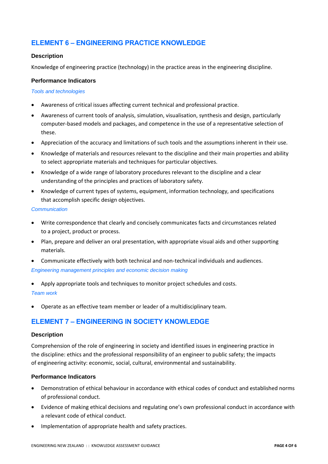# <span id="page-6-0"></span>**ELEMENT 6 – ENGINEERING PRACTICE KNOWLEDGE**

#### **Description**

Knowledge of engineering practice (technology) in the practice areas in the engineering discipline.

#### **Performance Indicators**

#### *Tools and technologies*

- Awareness of critical issues affecting current technical and professional practice.
- Awareness of current tools of analysis, simulation, visualisation, synthesis and design, particularly computer-based models and packages, and competence in the use of a representative selection of these.
- Appreciation of the accuracy and limitations of such tools and the assumptions inherent in their use.
- Knowledge of materials and resources relevant to the discipline and their main properties and ability to select appropriate materials and techniques for particular objectives.
- Knowledge of a wide range of laboratory procedures relevant to the discipline and a clear understanding of the principles and practices of laboratory safety.
- Knowledge of current types of systems, equipment, information technology, and specifications that accomplish specific design objectives.

#### *Communication*

- Write correspondence that clearly and concisely communicates facts and circumstances related to a project, product or process.
- Plan, prepare and deliver an oral presentation, with appropriate visual aids and other supporting materials.
- Communicate effectively with both technical and non-technical individuals and audiences. *Engineering management principles and economic decision making*
- Apply appropriate tools and techniques to monitor project schedules and costs.

#### *Team work*

• Operate as an effective team member or leader of a multidisciplinary team.

# <span id="page-6-1"></span>**ELEMENT 7 – ENGINEERING IN SOCIETY KNOWLEDGE**

#### **Description**

Comprehension of the role of engineering in society and identified issues in engineering practice in the discipline: ethics and the professional responsibility of an engineer to public safety; the impacts of engineering activity: economic, social, cultural, environmental and sustainability.

#### **Performance Indicators**

- Demonstration of ethical behaviour in accordance with ethical codes of conduct and established norms of professional conduct.
- Evidence of making ethical decisions and regulating one's own professional conduct in accordance with a relevant code of ethical conduct.
- Implementation of appropriate health and safety practices.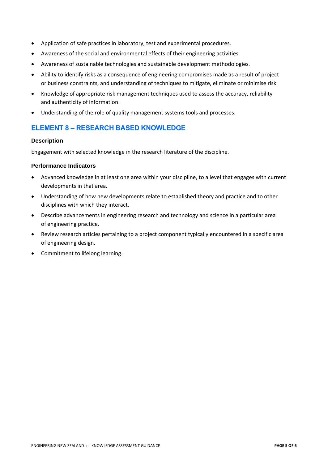- Application of safe practices in laboratory, test and experimental procedures.
- Awareness of the social and environmental effects of their engineering activities.
- Awareness of sustainable technologies and sustainable development methodologies.
- Ability to identify risks as a consequence of engineering compromises made as a result of project or business constraints, and understanding of techniques to mitigate, eliminate or minimise risk.
- Knowledge of appropriate risk management techniques used to assess the accuracy, reliability and authenticity of information.
- Understanding of the role of quality management systems tools and processes.

# <span id="page-7-0"></span>**ELEMENT 8 – RESEARCH BASED KNOWLEDGE**

#### **Description**

Engagement with selected knowledge in the research literature of the discipline.

#### **Performance Indicators**

- Advanced knowledge in at least one area within your discipline, to a level that engages with current developments in that area.
- Understanding of how new developments relate to established theory and practice and to other disciplines with which they interact.
- Describe advancements in engineering research and technology and science in a particular area of engineering practice.
- Review research articles pertaining to a project component typically encountered in a specific area of engineering design.
- Commitment to lifelong learning.